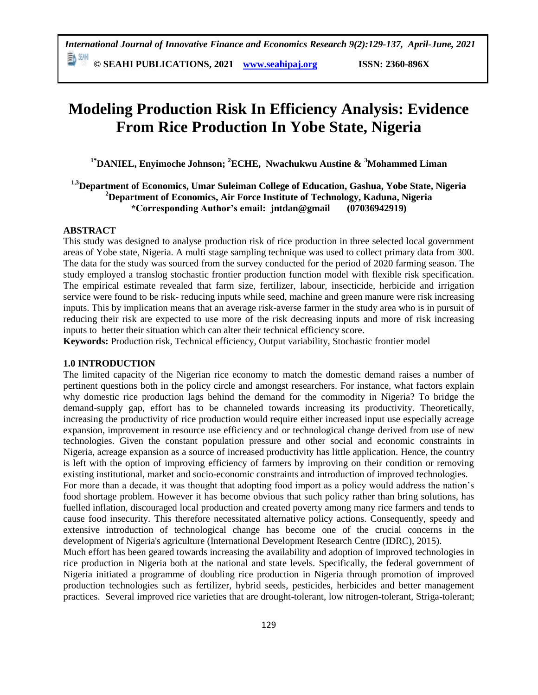# **Modeling Production Risk In Efficiency Analysis: Evidence From Rice Production In Yobe State, Nigeria**

**1\*DANIEL, Enyimoche Johnson; <sup>2</sup>ECHE, Nwachukwu Austine & <sup>3</sup>Mohammed Liman**

## **1,3Department of Economics, Umar Suleiman College of Education, Gashua, Yobe State, Nigeria <sup>2</sup>Department of Economics, Air Force Institute of Technology, Kaduna, Nigeria \*Corresponding Author's email: jntdan@gmail (07036942919)**

## **ABSTRACT**

This study was designed to analyse production risk of rice production in three selected local government areas of Yobe state, Nigeria. A multi stage sampling technique was used to collect primary data from 300. The data for the study was sourced from the survey conducted for the period of 2020 farming season. The study employed a translog stochastic frontier production function model with flexible risk specification. The empirical estimate revealed that farm size, fertilizer, labour, insecticide, herbicide and irrigation service were found to be risk- reducing inputs while seed, machine and green manure were risk increasing inputs. This by implication means that an average risk-averse farmer in the study area who is in pursuit of reducing their risk are expected to use more of the risk decreasing inputs and more of risk increasing inputs to better their situation which can alter their technical efficiency score.

**Keywords:** Production risk, Technical efficiency, Output variability, Stochastic frontier model

## **1.0 INTRODUCTION**

The limited capacity of the Nigerian rice economy to match the domestic demand raises a number of pertinent questions both in the policy circle and amongst researchers. For instance, what factors explain why domestic rice production lags behind the demand for the commodity in Nigeria? To bridge the demand-supply gap, effort has to be channeled towards increasing its productivity. Theoretically, increasing the productivity of rice production would require either increased input use especially acreage expansion, improvement in resource use efficiency and or technological change derived from use of new technologies. Given the constant population pressure and other social and economic constraints in Nigeria, acreage expansion as a source of increased productivity has little application. Hence, the country is left with the option of improving efficiency of farmers by improving on their condition or removing existing institutional, market and socio-economic constraints and introduction of improved technologies.

For more than a decade, it was thought that adopting food import as a policy would address the nation's food shortage problem. However it has become obvious that such policy rather than bring solutions, has fuelled inflation, discouraged local production and created poverty among many rice farmers and tends to cause food insecurity. This therefore necessitated alternative policy actions. Consequently, speedy and extensive introduction of technological change has become one of the crucial concerns in the development of Nigeria's agriculture (International Development Research Centre (IDRC), 2015).

Much effort has been geared towards increasing the availability and adoption of improved technologies in rice production in Nigeria both at the national and state levels. Specifically, the federal government of Nigeria initiated a programme of doubling rice production in Nigeria through promotion of improved production technologies such as fertilizer, hybrid seeds, pesticides, herbicides and better management practices. Several improved rice varieties that are drought-tolerant, low nitrogen-tolerant, Striga-tolerant;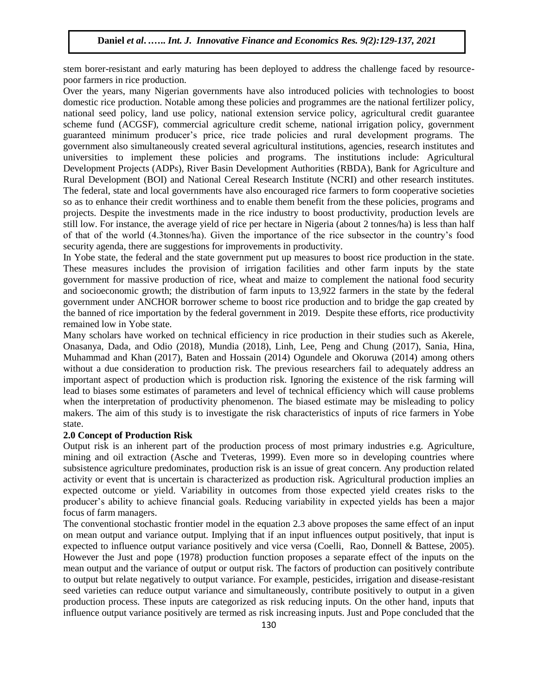stem borer-resistant and early maturing has been deployed to address the challenge faced by resourcepoor farmers in rice production.

Over the years, many Nigerian governments have also introduced policies with technologies to boost domestic rice production. Notable among these policies and programmes are the national fertilizer policy, national seed policy, land use policy, national extension service policy, agricultural credit guarantee scheme fund (ACGSF), commercial agriculture credit scheme, national irrigation policy, government guaranteed minimum producer's price, rice trade policies and rural development programs. The government also simultaneously created several agricultural institutions, agencies, research institutes and universities to implement these policies and programs. The institutions include: Agricultural Development Projects (ADPs), River Basin Development Authorities (RBDA), Bank for Agriculture and Rural Development (BOI) and National Cereal Research Institute (NCRI) and other research institutes. The federal, state and local governments have also encouraged rice farmers to form cooperative societies so as to enhance their credit worthiness and to enable them benefit from the these policies, programs and projects. Despite the investments made in the rice industry to boost productivity, production levels are still low. For instance, the average yield of rice per hectare in Nigeria (about 2 tonnes/ha) is less than half of that of the world (4.3tonnes/ha). Given the importance of the rice subsector in the country's food security agenda, there are suggestions for improvements in productivity.

In Yobe state, the federal and the state government put up measures to boost rice production in the state. These measures includes the provision of irrigation facilities and other farm inputs by the state government for massive production of rice, wheat and maize to complement the national food security and socioeconomic growth; the distribution of farm inputs to 13,922 farmers in the state by the federal government under ANCHOR borrower scheme to boost rice production and to bridge the gap created by the banned of rice importation by the federal government in 2019. Despite these efforts, rice productivity remained low in Yobe state.

Many scholars have worked on technical efficiency in rice production in their studies such as Akerele, Onasanya, Dada, and Odio (2018), Mundia (2018), Linh, Lee, Peng and Chung (2017), Sania, Hina, Muhammad and Khan (2017), Baten and Hossain (2014) Ogundele and Okoruwa (2014) among others without a due consideration to production risk. The previous researchers fail to adequately address an important aspect of production which is production risk. Ignoring the existence of the risk farming will lead to biases some estimates of parameters and level of technical efficiency which will cause problems when the interpretation of productivity phenomenon. The biased estimate may be misleading to policy makers. The aim of this study is to investigate the risk characteristics of inputs of rice farmers in Yobe state.

## **2.0 Concept of Production Risk**

Output risk is an inherent part of the production process of most primary industries e.g. Agriculture, mining and oil extraction (Asche and Tveteras, 1999). Even more so in developing countries where subsistence agriculture predominates, production risk is an issue of great concern. Any production related activity or event that is uncertain is characterized as production risk. Agricultural production implies an expected outcome or yield. Variability in outcomes from those expected yield creates risks to the producer's ability to achieve financial goals. Reducing variability in expected yields has been a major focus of farm managers.

The conventional stochastic frontier model in the equation 2.3 above proposes the same effect of an input on mean output and variance output. Implying that if an input influences output positively, that input is expected to influence output variance positively and vice versa (Coelli, Rao, Donnell & Battese, 2005). However the Just and pope (1978) production function proposes a separate effect of the inputs on the mean output and the variance of output or output risk. The factors of production can positively contribute to output but relate negatively to output variance. For example, pesticides, irrigation and disease-resistant seed varieties can reduce output variance and simultaneously, contribute positively to output in a given production process. These inputs are categorized as risk reducing inputs. On the other hand, inputs that influence output variance positively are termed as risk increasing inputs. Just and Pope concluded that the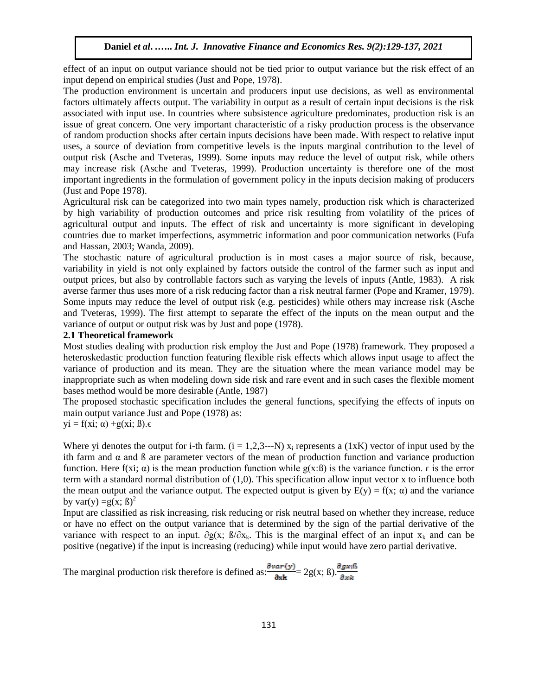effect of an input on output variance should not be tied prior to output variance but the risk effect of an input depend on empirical studies (Just and Pope, 1978).

The production environment is uncertain and producers input use decisions, as well as environmental factors ultimately affects output. The variability in output as a result of certain input decisions is the risk associated with input use. In countries where subsistence agriculture predominates, production risk is an issue of great concern. One very important characteristic of a risky production process is the observance of random production shocks after certain inputs decisions have been made. With respect to relative input uses, a source of deviation from competitive levels is the inputs marginal contribution to the level of output risk (Asche and Tveteras, 1999). Some inputs may reduce the level of output risk, while others may increase risk (Asche and Tveteras, 1999). Production uncertainty is therefore one of the most important ingredients in the formulation of government policy in the inputs decision making of producers (Just and Pope 1978).

Agricultural risk can be categorized into two main types namely, production risk which is characterized by high variability of production outcomes and price risk resulting from volatility of the prices of agricultural output and inputs. The effect of risk and uncertainty is more significant in developing countries due to market imperfections, asymmetric information and poor communication networks (Fufa and Hassan, 2003; Wanda, 2009).

The stochastic nature of agricultural production is in most cases a major source of risk, because, variability in yield is not only explained by factors outside the control of the farmer such as input and output prices, but also by controllable factors such as varying the levels of inputs (Antle, 1983). A risk averse farmer thus uses more of a risk reducing factor than a risk neutral farmer (Pope and Kramer, 1979). Some inputs may reduce the level of output risk (e.g. pesticides) while others may increase risk (Asche and Tveteras, 1999). The first attempt to separate the effect of the inputs on the mean output and the variance of output or output risk was by Just and pope (1978).

#### **2.1 Theoretical framework**

Most studies dealing with production risk employ the Just and Pope (1978) framework. They proposed a heteroskedastic production function featuring flexible risk effects which allows input usage to affect the variance of production and its mean. They are the situation where the mean variance model may be inappropriate such as when modeling down side risk and rare event and in such cases the flexible moment bases method would be more desirable (Antle, 1987)

The proposed stochastic specification includes the general functions, specifying the effects of inputs on main output variance Just and Pope (1978) as:

$$
yi = f(xi; \alpha) + g(xi; \beta). \epsilon
$$

Where yi denotes the output for i-th farm.  $(i = 1, 2, 3, \ldots, N)$  x<sub>i</sub> represents a  $(1xK)$  vector of input used by the ith farm and  $\alpha$  and  $\beta$  are parameter vectors of the mean of production function and variance production function. Here f(xi;  $\alpha$ ) is the mean production function while g(x:B) is the variance function.  $\epsilon$  is the error term with a standard normal distribution of (1,0). This specification allow input vector x to influence both the mean output and the variance output. The expected output is given by  $E(y) = f(x; \alpha)$  and the variance by var(y) =  $g(x; \beta)^2$ 

Input are classified as risk increasing, risk reducing or risk neutral based on whether they increase, reduce or have no effect on the output variance that is determined by the sign of the partial derivative of the variance with respect to an input.  $\partial g(x)$ ;  $\beta/\partial x_k$ . This is the marginal effect of an input  $x_k$  and can be positive (negative) if the input is increasing (reducing) while input would have zero partial derivative.

The marginal production risk therefore is defined as:  $\frac{\partial var(y)}{\partial x^k} = 2g(x; \beta) \cdot \frac{\partial g_{x;\beta}}{\partial x^k}$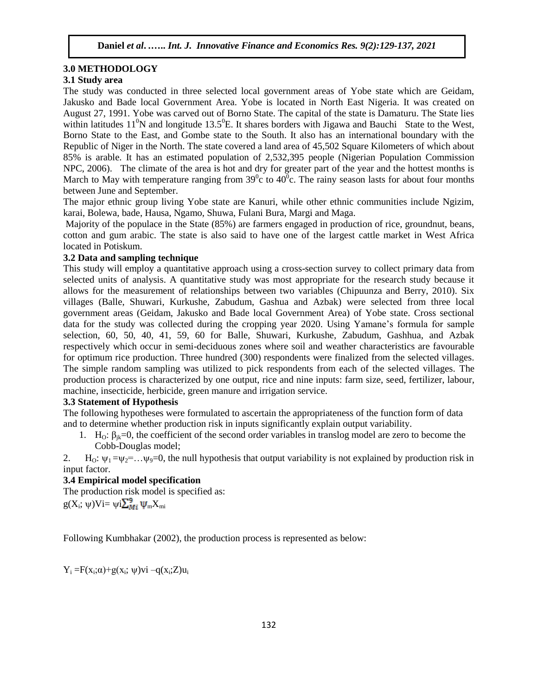#### **3.0 METHODOLOGY**

## **3.1 Study area**

The study was conducted in three selected local government areas of Yobe state which are Geidam, Jakusko and Bade local Government Area. Yobe is located in North East Nigeria. It was created on August 27, 1991. Yobe was carved out of Borno State. The capital of the state is Damaturu. The State lies within latitudes  $11^0$ N and longitude 13.5<sup>0</sup>E. It shares borders with Jigawa and Bauchi State to the West, Borno State to the East, and Gombe state to the South. It also has an international boundary with the Republic of Niger in the North. The state covered a land area of 45,502 Square Kilometers of which about 85% is arable. It has an estimated population of 2,532,395 people (Nigerian Population Commission NPC, 2006). The climate of the area is hot and dry for greater part of the year and the hottest months is March to May with temperature ranging from  $39^{\circ}$ c to  $40^{\circ}$ c. The rainy season lasts for about four months between June and September.

The major ethnic group living Yobe state are Kanuri, while other ethnic communities include Ngizim, karai, Bolewa, bade, Hausa, Ngamo, Shuwa, Fulani Bura, Margi and Maga.

Majority of the populace in the State (85%) are farmers engaged in production of rice, groundnut, beans, cotton and gum arabic. The state is also said to have one of the largest cattle market in West Africa located in Potiskum.

### **3.2 Data and sampling technique**

This study will employ a quantitative approach using a cross-section survey to collect primary data from selected units of analysis. A quantitative study was most appropriate for the research study because it allows for the measurement of relationships between two variables (Chipuunza and Berry, 2010). Six villages (Balle, Shuwari, Kurkushe, Zabudum, Gashua and Azbak) were selected from three local government areas (Geidam, Jakusko and Bade local Government Area) of Yobe state. Cross sectional data for the study was collected during the cropping year 2020. Using Yamane's formula for sample selection, 60, 50, 40, 41, 59, 60 for Balle, Shuwari, Kurkushe, Zabudum, Gashhua, and Azbak respectively which occur in semi-deciduous zones where soil and weather characteristics are favourable for optimum rice production. Three hundred (300) respondents were finalized from the selected villages. The simple random sampling was utilized to pick respondents from each of the selected villages. The production process is characterized by one output, rice and nine inputs: farm size, seed, fertilizer, labour, machine, insecticide, herbicide, green manure and irrigation service.

## **3.3 Statement of Hypothesis**

The following hypotheses were formulated to ascertain the appropriateness of the function form of data and to determine whether production risk in inputs significantly explain output variability.

1. H<sub>O</sub>:  $\beta_{ik}=0$ , the coefficient of the second order variables in translog model are zero to become the Cobb-Douglas model;

2. H<sub>o</sub>:  $\psi_1 = \psi_2 = ... \psi_9 = 0$ , the null hypothesis that output variability is not explained by production risk in input factor.

## **3.4 Empirical model specification**

The production risk model is specified as:

 $g(X_i; \psi)$ Vi=  $\psi$ i $\sum_{M}^{5} \psi_m X_m$ 

Following Kumbhakar (2002), the production process is represented as below:

 $Y_i = F(x_i; \alpha) + g(x_i; \psi)$ vi  $-q(x_i; Z)u_i$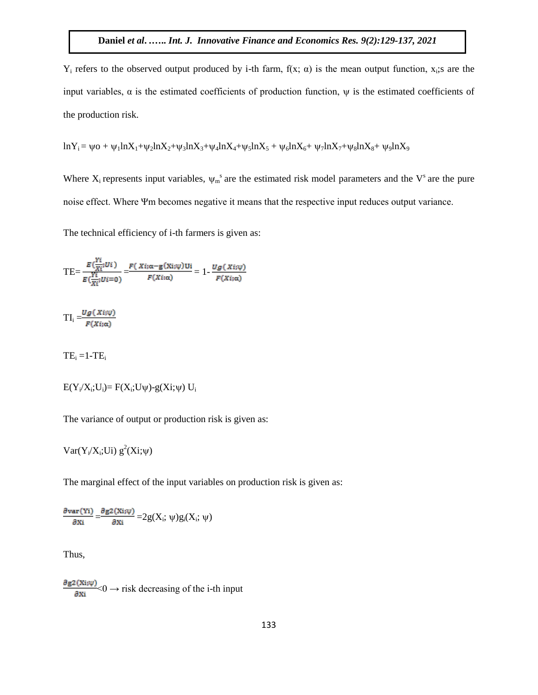$Y_i$  refers to the observed output produced by i-th farm,  $f(x; \alpha)$  is the mean output function,  $x_i$ ; are the input variables,  $\alpha$  is the estimated coefficients of production function,  $\psi$  is the estimated coefficients of the production risk.

$$
ln Y_i = \psi o + \psi_1 ln X_1 + \psi_2 ln X_2 + \psi_3 ln X_3 + \psi_4 ln X_4 + \psi_5 ln X_5 + \psi_6 ln X_6 + \psi_7 ln X_7 + \psi_8 ln X_8 + \psi_9 ln X_9
$$

Where  $X_i$  represents input variables,  $\psi_m^s$  are the estimated risk model parameters and the  $V^s$  are the pure noise effect. Where Ψm becomes negative it means that the respective input reduces output variance.

The technical efficiency of i-th farmers is given as:

$$
TE = \frac{E(\frac{Y_i}{X_i}; U_i)}{E(\frac{Y_i}{X_i}; U_i = 0)} = \frac{F(X_i; \alpha - g(X_i; \psi))U_i}{F(X_i; \alpha)} = 1 - \frac{Ug(X_i; \psi)}{F(X_i; \alpha)}
$$

$$
TI_i = \frac{Ug(Xi;\psi)}{F(Xi;\alpha)}
$$

 $TE_i = 1 - TE_i$ 

$$
E(Y_i/X_i;U_i)=F(X_i;U\psi)-g(Xi;\psi)\ U_i
$$

The variance of output or production risk is given as:

 $Var(Y_i/X_i; U_i) g^2(X_i;\psi)$ 

The marginal effect of the input variables on production risk is given as:

$$
\frac{\partial \text{var}(\text{Yi})}{\partial \text{Xi}} = \frac{\partial g2(\text{Xi};\psi)}{\partial \text{Xi}} = 2g(\text{X}_i;\, \psi)g_i(\text{X}_i;\, \psi)
$$

Thus,

 $\frac{\partial g_2(x_i,\psi)}{\partial x_i}$  < 0  $\rightarrow$  risk decreasing of the i-th input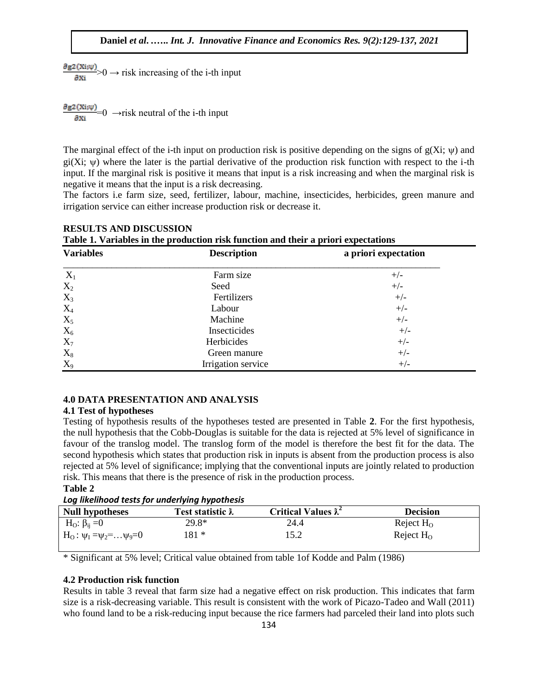$\frac{\partial g_2(x_i,\psi)}{\partial x_i}>0$   $\rightarrow$  risk increasing of the i-th input

 $\frac{\partial g_2(x_i,\psi)}{\partial x_i}$  = 0  $\rightarrow$  risk neutral of the i-th input

The marginal effect of the i-th input on production risk is positive depending on the signs of  $g(Xi; \psi)$  and gi(Xi;  $\psi$ ) where the later is the partial derivative of the production risk function with respect to the i-th input. If the marginal risk is positive it means that input is a risk increasing and when the marginal risk is negative it means that the input is a risk decreasing.

The factors i.e farm size, seed, fertilizer, labour, machine, insecticides, herbicides, green manure and irrigation service can either increase production risk or decrease it.

| Table 1. Variables in the production risk function and their a priori expectations |                    |                               |  |  |  |
|------------------------------------------------------------------------------------|--------------------|-------------------------------|--|--|--|
| <b>Variables</b>                                                                   | <b>Description</b> | a priori expectation<br>$+/-$ |  |  |  |
| $X_1$                                                                              | Farm size          |                               |  |  |  |
| $X_2$                                                                              | Seed               | $+/-$                         |  |  |  |
| $X_3$                                                                              | Fertilizers        | $+/-$                         |  |  |  |
| $X_4$                                                                              | Labour             | $+/-$                         |  |  |  |
| $X_5$                                                                              | Machine            | $+/-$                         |  |  |  |
| $X_6$                                                                              | Insecticides       | $+/-$                         |  |  |  |
| $X_7$                                                                              | Herbicides         | $+/-$                         |  |  |  |
| $X_8$                                                                              | Green manure       | $+/-$                         |  |  |  |
| $X_9$                                                                              | Irrigation service | $+/-$                         |  |  |  |

## **RESULTS AND DISCUSSION**

**4.0 DATA PRESENTATION AND ANALYSIS** 

#### **4.1 Test of hypotheses**

Testing of hypothesis results of the hypotheses tested are presented in Table **2**. For the first hypothesis, the null hypothesis that the Cobb-Douglas is suitable for the data is rejected at 5% level of significance in favour of the translog model. The translog form of the model is therefore the best fit for the data. The second hypothesis which states that production risk in inputs is absent from the production process is also rejected at 5% level of significance; implying that the conventional inputs are jointly related to production risk. This means that there is the presence of risk in the production process.

## **Table 2**

*Log likelihood tests for underlying hypothesis* 

| Null hypotheses                           | <b>Test statistic <math>\tilde{\lambda}</math></b> | Critical Values $\tilde{\lambda}^2$ | <b>Decision</b> |
|-------------------------------------------|----------------------------------------------------|-------------------------------------|-----------------|
| $H_0$ : $\beta_{ii} = 0$                  | 29.8*                                              | 24.4                                | Reject $H_0$    |
| $H_0: \psi_1 = \psi_2 = \dots \psi_9 = 0$ | 181 *                                              | 15.2                                | Reject $H_0$    |

\* Significant at 5% level; Critical value obtained from table 1of Kodde and Palm (1986)

## **4.2 Production risk function**

Results in table 3 reveal that farm size had a negative effect on risk production. This indicates that farm size is a risk-decreasing variable. This result is consistent with the work of Picazo-Tadeo and Wall (2011) who found land to be a risk-reducing input because the rice farmers had parceled their land into plots such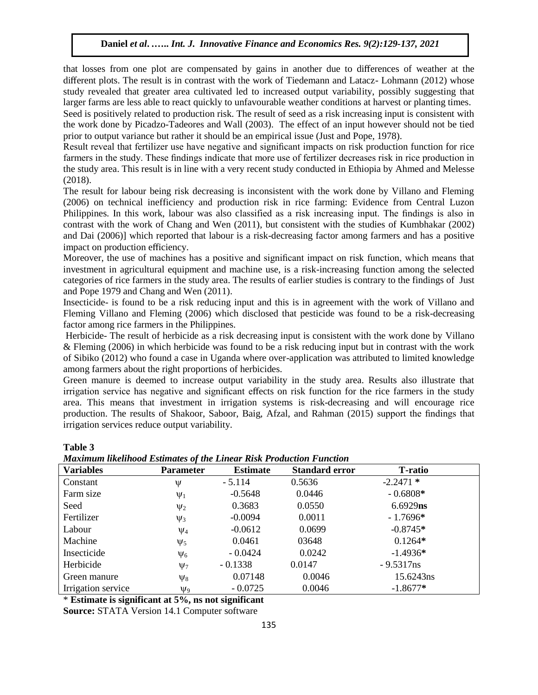that losses from one plot are compensated by gains in another due to differences of weather at the different plots. The result is in contrast with the work of Tiedemann and Latacz- Lohmann (2012) whose study revealed that greater area cultivated led to increased output variability, possibly suggesting that larger farms are less able to react quickly to unfavourable weather conditions at harvest or planting times.

Seed is positively related to production risk. The result of seed as a risk increasing input is consistent with the work done by Picadzo-Tadeores and Wall (2003). The effect of an input however should not be tied prior to output variance but rather it should be an empirical issue (Just and Pope, 1978).

Result reveal that fertilizer use have negative and significant impacts on risk production function for rice farmers in the study. These findings indicate that more use of fertilizer decreases risk in rice production in the study area. This result is in line with a very recent study conducted in Ethiopia by Ahmed and Melesse (2018).

The result for labour being risk decreasing is inconsistent with the work done by Villano and Fleming (2006) on technical inefficiency and production risk in rice farming: Evidence from Central Luzon Philippines. In this work, labour was also classified as a risk increasing input. The findings is also in contrast with the work of Chang and Wen (2011), but consistent with the studies of Kumbhakar (2002) and Dai (2006)] which reported that labour is a risk-decreasing factor among farmers and has a positive impact on production efficiency.

Moreover, the use of machines has a positive and significant impact on risk function, which means that investment in agricultural equipment and machine use, is a risk-increasing function among the selected categories of rice farmers in the study area. The results of earlier studies is contrary to the findings of Just and Pope 1979 and Chang and Wen (2011).

Insecticide- is found to be a risk reducing input and this is in agreement with the work of Villano and Fleming Villano and Fleming (2006) which disclosed that pesticide was found to be a risk-decreasing factor among rice farmers in the Philippines.

Herbicide- The result of herbicide as a risk decreasing input is consistent with the work done by Villano & Fleming (2006) in which herbicide was found to be a risk reducing input but in contrast with the work of Sibiko (2012) who found a case in Uganda where over-application was attributed to limited knowledge among farmers about the right proportions of herbicides.

Green manure is deemed to increase output variability in the study area. Results also illustrate that irrigation service has negative and significant effects on risk function for the rice farmers in the study area. This means that investment in irrigation systems is risk-decreasing and will encourage rice production. The results of Shakoor, Saboor, Baig, Afzal, and Rahman (2015) support the findings that irrigation services reduce output variability.

#### **Table 3**

| <b>Maximum likelihood Estimates of the Linear Risk Production Function</b> |  |
|----------------------------------------------------------------------------|--|
|----------------------------------------------------------------------------|--|

| <b>Variables</b>   | <b>Parameter</b>    | <b>Estimate</b> | <b>Standard error</b> | <b>T-ratio</b> |
|--------------------|---------------------|-----------------|-----------------------|----------------|
| Constant           | Ψ                   | $-5.114$        | 0.5636                | $-2.2471*$     |
| Farm size          | $\Psi_1$            | $-0.5648$       | 0.0446                | $-0.6808*$     |
| Seed               | $\Psi_2$            | 0.3683          | 0.0550                | $6.6929$ ns    |
| Fertilizer         | $\Psi_3$            | $-0.0094$       | 0.0011                | $-1.7696*$     |
| Labour             | $\Psi_4$            | $-0.0612$       | 0.0699                | $-0.8745*$     |
| Machine            | $\Psi_5$            | 0.0461          | 03648                 | $0.1264*$      |
| Insecticide        | $\Psi_6$            | $-0.0424$       | 0.0242                | $-1.4936*$     |
| Herbicide          | $\Psi$ <sub>7</sub> | $-0.1338$       | 0.0147                | $-9.5317$ ns   |
| Green manure       | $\Psi_8$            | 0.07148         | 0.0046                | 15.6243ns      |
| Irrigation service | $\Psi_9$            | $-0.0725$       | 0.0046                | $-1.8677*$     |

\* **Estimate is significant at 5%, ns not significant**

**Source:** STATA Version 14.1 Computer software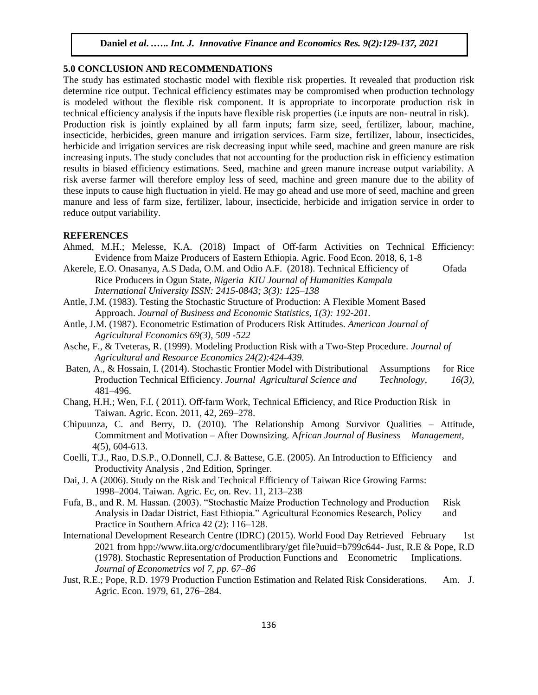## **5.0 CONCLUSION AND RECOMMENDATIONS**

The study has estimated stochastic model with flexible risk properties. It revealed that production risk determine rice output. Technical efficiency estimates may be compromised when production technology is modeled without the flexible risk component. It is appropriate to incorporate production risk in technical efficiency analysis if the inputs have flexible risk properties (i.e inputs are non- neutral in risk). Production risk is jointly explained by all farm inputs; farm size, seed, fertilizer, labour, machine, insecticide, herbicides, green manure and irrigation services. Farm size, fertilizer, labour, insecticides, herbicide and irrigation services are risk decreasing input while seed, machine and green manure are risk increasing inputs. The study concludes that not accounting for the production risk in efficiency estimation results in biased efficiency estimations. Seed, machine and green manure increase output variability. A risk averse farmer will therefore employ less of seed, machine and green manure due to the ability of these inputs to cause high fluctuation in yield. He may go ahead and use more of seed, machine and green manure and less of farm size, fertilizer, labour, insecticide, herbicide and irrigation service in order to reduce output variability.

## **REFERENCES**

- Ahmed, M.H.; Melesse, K.A. (2018) Impact of Off-farm Activities on Technical Efficiency: Evidence from Maize Producers of Eastern Ethiopia. Agric. Food Econ. 2018, 6, 1-8
- Akerele, E.O. Onasanya, A.S Dada, O.M. and Odio A.F. (2018). Technical Efficiency of Ofada Rice Producers in Ogun State, *Nigeria KIU Journal of Humanities Kampala International University ISSN: 2415-0843; 3(3): 125–138*
- Antle, J.M. (1983). Testing the Stochastic Structure of Production: A Flexible Moment Based Approach. *Journal of Business and Economic Statistics, 1(3): 192-201.*
- Antle, J.M. (1987). Econometric Estimation of Producers Risk Attitudes. *American Journal of Agricultural Economics 69(3), 509 -522*
- Asche, F., & Tveteras, R. (1999). Modeling Production Risk with a Two-Step Procedure. *Journal of Agricultural and Resource Economics 24(2):424-439.*
- Baten, A., & Hossain, I. (2014). Stochastic Frontier Model with Distributional Assumptions for Rice Production Technical Efficiency. *Journal Agricultural Science and Technology*, *16(3),*  481–496.
- Chang, H.H.; Wen, F.I. ( 2011). Off-farm Work, Technical Efficiency, and Rice Production Risk in Taiwan. Agric. Econ. 2011, 42, 269–278.
- Chipuunza, C. and Berry, D. (2010). The Relationship Among Survivor Qualities Attitude, Commitment and Motivation – After Downsizing. A*frican Journal of Business Management,* 4(5), 604-613.
- Coelli, T.J., Rao, D.S.P., O.Donnell, C.J. & Battese, G.E. (2005). An Introduction to Efficiency and Productivity Analysis , 2nd Edition, Springer.
- Dai, J. A (2006). Study on the Risk and Technical Efficiency of Taiwan Rice Growing Farms: 1998–2004. Taiwan. Agric. Ec, on. Rev. 11, 213–238
- Fufa, B., and R. M. Hassan. (2003). "Stochastic Maize Production Technology and Production Risk Analysis in Dadar District, East Ethiopia." Agricultural Economics Research, Policy and Practice in Southern Africa 42 (2): 116–128.
- International Development Research Centre (IDRC) (2015). World Food Day Retrieved February 1st 2021 from hpp://www.iita.org/c/documentlibrary/get file?uuid=b799c644- Just, R.E & Pope, R.D (1978). Stochastic Representation of Production Functions and Econometric Implications. *Journal of Econometrics vol 7, pp. 67–86*
- Just, R.E.; Pope, R.D. 1979 Production Function Estimation and Related Risk Considerations. Am. J. Agric. Econ. 1979, 61, 276–284.